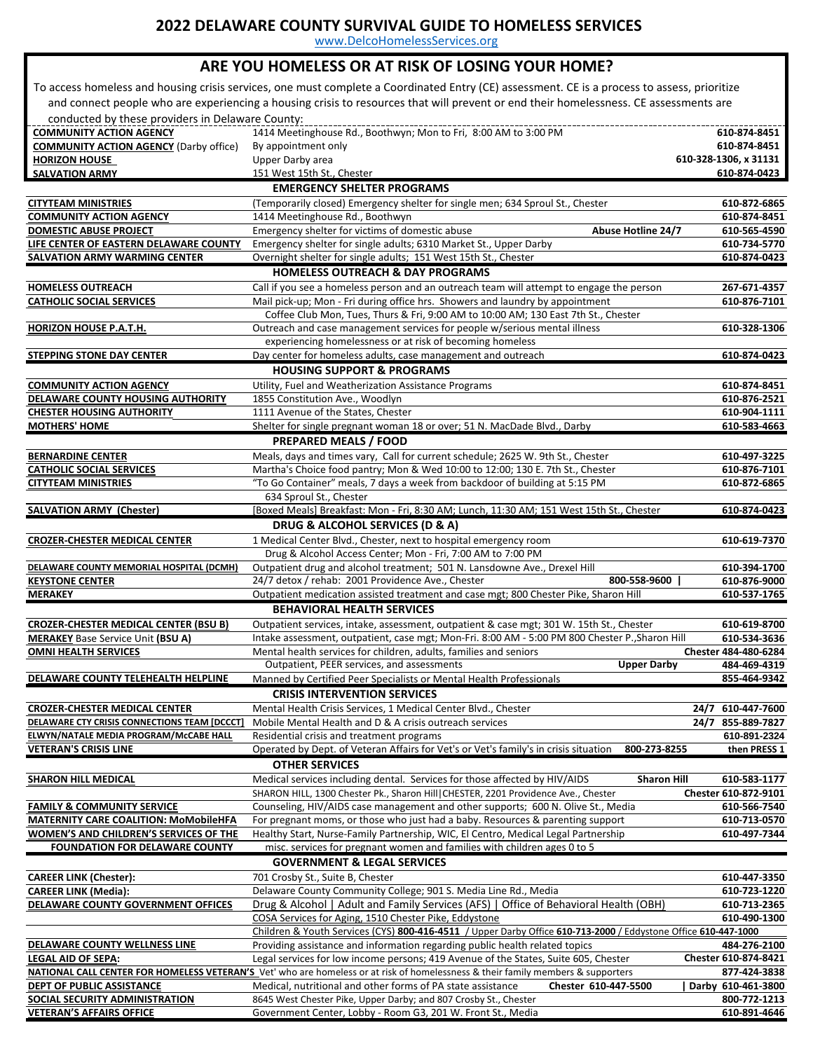www.DelcoHomelessServices.org

#### **ARE YOU HOMELESS OR AT RISK OF LOSING YOUR HOME?**

 To access homeless and housing crisis services, one must complete a Coordinated Entry (CE) assessment. CE is a process to assess, prioritize and connect people who are experiencing a housing crisis to resources that will prevent or end their homelessness. CE assessments are conducted by these providers in Delaware County:

| conducted by these providers in Delaware County: |                                                                                                                                  |                       |
|--------------------------------------------------|----------------------------------------------------------------------------------------------------------------------------------|-----------------------|
| <b>COMMUNITY ACTION AGENCY</b>                   | 1414 Meetinghouse Rd., Boothwyn; Mon to Fri, 8:00 AM to 3:00 PM                                                                  | 610-874-8451          |
| <b>COMMUNITY ACTION AGENCY (Darby office)</b>    | By appointment only                                                                                                              | 610-874-8451          |
| <b>HORIZON HOUSE</b>                             | Upper Darby area                                                                                                                 | 610-328-1306, x 31131 |
| <b>SALVATION ARMY</b>                            | 151 West 15th St., Chester                                                                                                       | 610-874-0423          |
|                                                  | <b>EMERGENCY SHELTER PROGRAMS</b>                                                                                                |                       |
| <b>CITYTEAM MINISTRIES</b>                       | (Temporarily closed) Emergency shelter for single men; 634 Sproul St., Chester                                                   | 610-872-6865          |
| <b>COMMUNITY ACTION AGENCY</b>                   | 1414 Meetinghouse Rd., Boothwyn                                                                                                  | 610-874-8451          |
| <b>DOMESTIC ABUSE PROJECT</b>                    | Emergency shelter for victims of domestic abuse<br><b>Abuse Hotline 24/7</b>                                                     | 610-565-4590          |
| LIFE CENTER OF EASTERN DELAWARE COUNTY           | Emergency shelter for single adults; 6310 Market St., Upper Darby                                                                | 610-734-5770          |
| <b>SALVATION ARMY WARMING CENTER</b>             | Overnight shelter for single adults; 151 West 15th St., Chester                                                                  | 610-874-0423          |
|                                                  | <b>HOMELESS OUTREACH &amp; DAY PROGRAMS</b>                                                                                      |                       |
| <b>HOMELESS OUTREACH</b>                         | Call if you see a homeless person and an outreach team will attempt to engage the person                                         | 267-671-4357          |
| <b>CATHOLIC SOCIAL SERVICES</b>                  | Mail pick-up; Mon - Fri during office hrs. Showers and laundry by appointment                                                    | 610-876-7101          |
|                                                  | Coffee Club Mon, Tues, Thurs & Fri, 9:00 AM to 10:00 AM; 130 East 7th St., Chester                                               |                       |
| HORIZON HOUSE P.A.T.H.                           | Outreach and case management services for people w/serious mental illness                                                        | 610-328-1306          |
|                                                  | experiencing homelessness or at risk of becoming homeless                                                                        |                       |
| <b>STEPPING STONE DAY CENTER</b>                 | Day center for homeless adults, case management and outreach                                                                     | 610-874-0423          |
|                                                  | <b>HOUSING SUPPORT &amp; PROGRAMS</b>                                                                                            |                       |
| <b>COMMUNITY ACTION AGENCY</b>                   | Utility, Fuel and Weatherization Assistance Programs                                                                             | 610-874-8451          |
| DELAWARE COUNTY HOUSING AUTHORITY                | 1855 Constitution Ave., Woodlyn                                                                                                  | 610-876-2521          |
| <b>CHESTER HOUSING AUTHORITY</b>                 | 1111 Avenue of the States, Chester                                                                                               | 610-904-1111          |
| <b>MOTHERS' HOME</b>                             | Shelter for single pregnant woman 18 or over; 51 N. MacDade Blvd., Darby                                                         | 610-583-4663          |
|                                                  | <b>PREPARED MEALS / FOOD</b>                                                                                                     |                       |
| <b>BERNARDINE CENTER</b>                         | Meals, days and times vary, Call for current schedule; 2625 W. 9th St., Chester                                                  | 610-497-3225          |
| <b>CATHOLIC SOCIAL SERVICES</b>                  | Martha's Choice food pantry; Mon & Wed 10:00 to 12:00; 130 E. 7th St., Chester                                                   | 610-876-7101          |
| <b>CITYTEAM MINISTRIES</b>                       | "To Go Container" meals, 7 days a week from backdoor of building at 5:15 PM                                                      | 610-872-6865          |
|                                                  | 634 Sproul St., Chester                                                                                                          |                       |
| <b>SALVATION ARMY (Chester)</b>                  | [Boxed Meals] Breakfast: Mon - Fri, 8:30 AM; Lunch, 11:30 AM; 151 West 15th St., Chester                                         | 610-874-0423          |
|                                                  | DRUG & ALCOHOL SERVICES (D & A)                                                                                                  |                       |
| <b>CROZER-CHESTER MEDICAL CENTER</b>             | 1 Medical Center Blvd., Chester, next to hospital emergency room                                                                 | 610-619-7370          |
|                                                  | Drug & Alcohol Access Center; Mon - Fri, 7:00 AM to 7:00 PM                                                                      |                       |
| DELAWARE COUNTY MEMORIAL HOSPITAL (DCMH)         | Outpatient drug and alcohol treatment; 501 N. Lansdowne Ave., Drexel Hill                                                        | 610-394-1700          |
| <b>KEYSTONE CENTER</b>                           | 24/7 detox / rehab: 2001 Providence Ave., Chester<br>800-558-9600                                                                | 610-876-9000          |
| <b>MERAKEY</b>                                   | Outpatient medication assisted treatment and case mgt; 800 Chester Pike, Sharon Hill                                             | 610-537-1765          |
|                                                  | <b>BEHAVIORAL HEALTH SERVICES</b>                                                                                                |                       |
| <b>CROZER-CHESTER MEDICAL CENTER (BSU B)</b>     | Outpatient services, intake, assessment, outpatient & case mgt; 301 W. 15th St., Chester                                         | 610-619-8700          |
| <b>MERAKEY Base Service Unit (BSU A)</b>         | Intake assessment, outpatient, case mgt; Mon-Fri. 8:00 AM - 5:00 PM 800 Chester P., Sharon Hill                                  | 610-534-3636          |
| <b>OMNI HEALTH SERVICES</b>                      | Mental health services for children, adults, families and seniors                                                                | Chester 484-480-6284  |
|                                                  | Outpatient, PEER services, and assessments<br><b>Upper Darby</b>                                                                 | 484-469-4319          |
| DELAWARE COUNTY TELEHEALTH HELPLINE              | Manned by Certified Peer Specialists or Mental Health Professionals                                                              | 855-464-9342          |
|                                                  | <b>CRISIS INTERVENTION SERVICES</b>                                                                                              |                       |
| <b>CROZER-CHESTER MEDICAL CENTER</b>             | Mental Health Crisis Services, 1 Medical Center Blvd., Chester                                                                   | 24/7 610-447-7600     |
| DELAWARE CTY CRISIS CONNECTIONS TEAM [DCCCT]     | Mobile Mental Health and D & A crisis outreach services                                                                          | 24/7 855-889-7827     |
| <b>ELWYN/NATALE MEDIA PROGRAM/McCABE HALL</b>    | Residential crisis and treatment programs                                                                                        | 610-891-2324          |
| <b>VETERAN'S CRISIS LINE</b>                     | Operated by Dept. of Veteran Affairs for Vet's or Vet's family's in crisis situation<br>800-273-8255                             | then PRESS 1          |
|                                                  | <b>OTHER SERVICES</b>                                                                                                            |                       |
| <b>SHARON HILL MEDICAL</b>                       | Medical services including dental. Services for those affected by HIV/AIDS<br><b>Sharon Hill</b>                                 | 610-583-1177          |
|                                                  | SHARON HILL, 1300 Chester Pk., Sharon Hill CHESTER, 2201 Providence Ave., Chester                                                | Chester 610-872-9101  |
| <b>FAMILY &amp; COMMUNITY SERVICE</b>            | Counseling, HIV/AIDS case management and other supports; 600 N. Olive St., Media                                                 | 610-566-7540          |
| <b>MATERNITY CARE COALITION: MoMobileHFA</b>     | For pregnant moms, or those who just had a baby. Resources & parenting support                                                   | 610-713-0570          |
| WOMEN'S AND CHILDREN'S SERVICES OF THE           | Healthy Start, Nurse-Family Partnership, WIC, El Centro, Medical Legal Partnership                                               | 610-497-7344          |
| <b>FOUNDATION FOR DELAWARE COUNTY</b>            | misc. services for pregnant women and families with children ages 0 to 5                                                         |                       |
|                                                  | <b>GOVERNMENT &amp; LEGAL SERVICES</b>                                                                                           |                       |
| <b>CAREER LINK (Chester):</b>                    | 701 Crosby St., Suite B, Chester                                                                                                 | 610-447-3350          |
| <b>CAREER LINK (Media):</b>                      | Delaware County Community College; 901 S. Media Line Rd., Media                                                                  | 610-723-1220          |
| <b>DELAWARE COUNTY GOVERNMENT OFFICES</b>        | Drug & Alcohol   Adult and Family Services (AFS)   Office of Behavioral Health (OBH)                                             | 610-713-2365          |
|                                                  | COSA Services for Aging, 1510 Chester Pike, Eddystone                                                                            | 610-490-1300          |
|                                                  | Children & Youth Services (CYS) 800-416-4511 / Upper Darby Office 610-713-2000 / Eddystone Office 610-447-1000                   |                       |
| DELAWARE COUNTY WELLNESS LINE                    | Providing assistance and information regarding public health related topics                                                      | 484-276-2100          |
| <b>LEGAL AID OF SEPA:</b>                        | Legal services for low income persons; 419 Avenue of the States, Suite 605, Chester                                              | Chester 610-874-8421  |
|                                                  | NATIONAL CALL CENTER FOR HOMELESS VETERAN'S Vet' who are homeless or at risk of homelessness & their family members & supporters | 877-424-3838          |
| DEPT OF PUBLIC ASSISTANCE                        | Medical, nutritional and other forms of PA state assistance<br>Chester 610-447-5500                                              | Darby 610-461-3800    |
| SOCIAL SECURITY ADMINISTRATION                   | 8645 West Chester Pike, Upper Darby; and 807 Crosby St., Chester                                                                 | 800-772-1213          |
| <b>VETERAN'S AFFAIRS OFFICE</b>                  | Government Center, Lobby - Room G3, 201 W. Front St., Media                                                                      | 610-891-4646          |